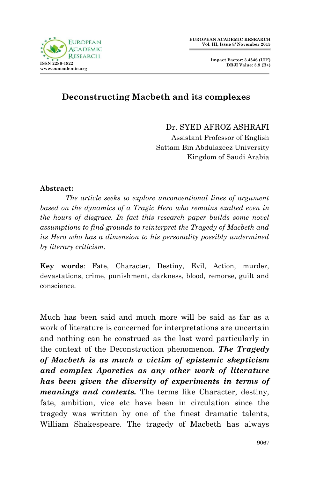

 **Impact Factor: 3.4546 (UIF) DRJI Value: 5.9 (B+)**

## **Deconstructing Macbeth and its complexes**

Dr. SYED AFROZ ASHRAFI

 Assistant Professor of English Sattam Bin Abdulazeez University Kingdom of Saudi Arabia

## **Abstract:**

*The article seeks to explore unconventional lines of argument based on the dynamics of a Tragic Hero who remains exalted even in the hours of disgrace. In fact this research paper builds some novel assumptions to find grounds to reinterpret the Tragedy of Macbeth and its Hero who has a dimension to his personality possibly undermined by literary criticism.*

**Key words**: Fate, Character, Destiny, Evil, Action, murder, devastations, crime, punishment, darkness, blood, remorse, guilt and conscience.

Much has been said and much more will be said as far as a work of literature is concerned for interpretations are uncertain and nothing can be construed as the last word particularly in the context of the Deconstruction phenomenon. *The Tragedy of Macbeth is as much a victim of epistemic skepticism and complex Aporetics as any other work of literature has been given the diversity of experiments in terms of meanings and contexts.* The terms like Character, destiny, fate, ambition, vice etc have been in circulation since the tragedy was written by one of the finest dramatic talents, William Shakespeare. The tragedy of Macbeth has always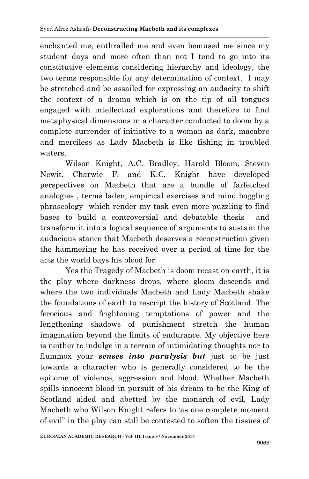enchanted me, enthralled me and even bemused me since my student days and more often than not I tend to go into its constitutive elements considering hierarchy and ideology, the two terms responsible for any determination of context. I may be stretched and be assailed for expressing an audacity to shift the context of a drama which is on the tip of all tongues engaged with intellectual explorations and therefore to find metaphysical dimensions in a character conducted to doom by a complete surrender of initiative to a woman as dark, macabre and merciless as Lady Macbeth is like fishing in troubled waters.

Wilson Knight, A.C. Bradley, Harold Bloom, Steven Newit, Charwie F. and K.C. Knight have developed perspectives on Macbeth that are a bundle of farfetched analogies , terms laden, empirical exercises and mind boggling phraseology which render my task even more puzzling to find bases to build a controversial and debatable thesis and transform it into a logical sequence of arguments to sustain the audacious stance that Macbeth deserves a reconstruction given the hammering he has received over a period of time for the acts the world bays his blood for.

Yes the Tragedy of Macbeth is doom recast on earth, it is the play where darkness drops, where gloom descends and where the two individuals Macbeth and Lady Macbeth shake the foundations of earth to rescript the history of Scotland. The ferocious and frightening temptations of power and the lengthening shadows of punishment stretch the human imagination beyond the limits of endurance. My objective here is neither to indulge in a terrain of intimidating thoughts nor to flummox your *senses into paralysis but* just to be just towards a character who is generally considered to be the epitome of violence, aggression and blood. Whether Macbeth spills innocent blood in pursuit of his dream to be the King of Scotland aided and abetted by the monarch of evil, Lady Macbeth who Wilson Knight refers to "as one complete moment of evil" in the play can still be contested to soften the tissues of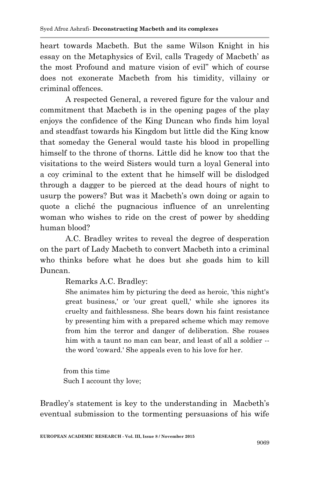heart towards Macbeth. But the same Wilson Knight in his essay on the Metaphysics of Evil, calls Tragedy of Macbeth' as the most Profound and mature vision of evil" which of course does not exonerate Macbeth from his timidity, villainy or criminal offences.

A respected General, a revered figure for the valour and commitment that Macbeth is in the opening pages of the play enjoys the confidence of the King Duncan who finds him loyal and steadfast towards his Kingdom but little did the King know that someday the General would taste his blood in propelling himself to the throne of thorns. Little did he know too that the visitations to the weird Sisters would turn a loyal General into a coy criminal to the extent that he himself will be dislodged through a dagger to be pierced at the dead hours of night to usurp the powers? But was it Macbeth's own doing or again to quote a cliché the pugnacious influence of an unrelenting woman who wishes to ride on the crest of power by shedding human blood?

A.C. Bradley writes to reveal the degree of desperation on the part of Lady Macbeth to convert Macbeth into a criminal who thinks before what he does but she goads him to kill Duncan.

Remarks A.C. Bradley:

She animates him by picturing the deed as heroic, 'this night's great business,' or 'our great quell,' while she ignores its cruelty and faithlessness. She bears down his faint resistance by presenting him with a prepared scheme which may remove from him the terror and danger of deliberation. She rouses him with a taunt no man can bear, and least of all a soldier -the word 'coward.' She appeals even to his love for her.

 from this time Such I account thy love;

Bradley's statement is key to the understanding in Macbeth's eventual submission to the tormenting persuasions of his wife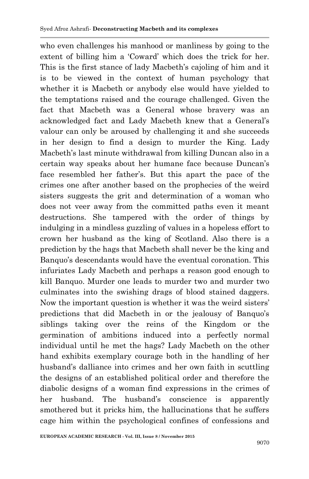who even challenges his manhood or manliness by going to the extent of billing him a "Coward" which does the trick for her. This is the first stance of lady Macbeth's cajoling of him and it is to be viewed in the context of human psychology that whether it is Macbeth or anybody else would have yielded to the temptations raised and the courage challenged. Given the fact that Macbeth was a General whose bravery was an acknowledged fact and Lady Macbeth knew that a General"s valour can only be aroused by challenging it and she succeeds in her design to find a design to murder the King. Lady Macbeth's last minute withdrawal from killing Duncan also in a certain way speaks about her humane face because Duncan"s face resembled her father"s. But this apart the pace of the crimes one after another based on the prophecies of the weird sisters suggests the grit and determination of a woman who does not veer away from the committed paths even it meant destructions. She tampered with the order of things by indulging in a mindless guzzling of values in a hopeless effort to crown her husband as the king of Scotland. Also there is a prediction by the hags that Macbeth shall never be the king and Banquo"s descendants would have the eventual coronation. This infuriates Lady Macbeth and perhaps a reason good enough to kill Banquo. Murder one leads to murder two and murder two culminates into the swishing drags of blood stained daggers. Now the important question is whether it was the weird sisters" predictions that did Macbeth in or the jealousy of Banquo's siblings taking over the reins of the Kingdom or the germination of ambitions induced into a perfectly normal individual until he met the hags? Lady Macbeth on the other hand exhibits exemplary courage both in the handling of her husband"s dalliance into crimes and her own faith in scuttling the designs of an established political order and therefore the diabolic designs of a woman find expressions in the crimes of her husband. The husband"s conscience is apparently smothered but it pricks him, the hallucinations that he suffers cage him within the psychological confines of confessions and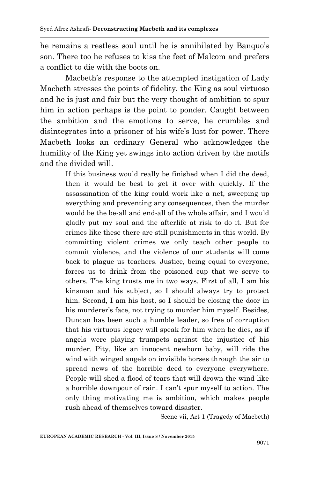he remains a restless soul until he is annihilated by Banquo's son. There too he refuses to kiss the feet of Malcom and prefers a conflict to die with the boots on.

Macbeth"s response to the attempted instigation of Lady Macbeth stresses the points of fidelity, the King as soul virtuoso and he is just and fair but the very thought of ambition to spur him in action perhaps is the point to ponder. Caught between the ambition and the emotions to serve, he crumbles and disintegrates into a prisoner of his wife's lust for power. There Macbeth looks an ordinary General who acknowledges the humility of the King yet swings into action driven by the motifs and the divided will.

> If this business would really be finished when I did the deed, then it would be best to get it over with quickly. If the assassination of the king could work like a net, sweeping up everything and preventing any consequences, then the murder would be the be-all and end-all of the whole affair, and I would gladly put my soul and the afterlife at risk to do it. But for crimes like these there are still punishments in this world. By committing violent crimes we only teach other people to commit violence, and the violence of our students will come back to plague us teachers. Justice, being equal to everyone, forces us to drink from the poisoned cup that we serve to others. The king trusts me in two ways. First of all, I am his kinsman and his subject, so I should always try to protect him. Second, I am his host, so I should be closing the door in his murderer's face, not trying to murder him myself. Besides, Duncan has been such a humble leader, so free of corruption that his virtuous legacy will speak for him when he dies, as if angels were playing trumpets against the injustice of his murder. Pity, like an innocent newborn baby, will ride the wind with winged angels on invisible horses through the air to spread news of the horrible deed to everyone everywhere. People will shed a flood of tears that will drown the wind like a horrible downpour of rain. I can"t spur myself to action. The only thing motivating me is ambition, which makes people rush ahead of themselves toward disaster.

Scene vii, Act 1 (Tragedy of Macbeth)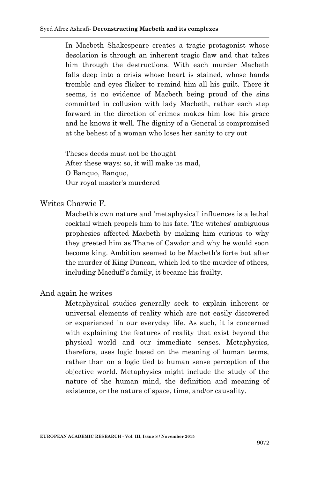In Macbeth Shakespeare creates a tragic protagonist whose desolation is through an inherent tragic flaw and that takes him through the destructions. With each murder Macbeth falls deep into a crisis whose heart is stained, whose hands tremble and eyes flicker to remind him all his guilt. There it seems, is no evidence of Macbeth being proud of the sins committed in collusion with lady Macbeth, rather each step forward in the direction of crimes makes him lose his grace and he knows it well. The dignity of a General is compromised at the behest of a woman who loses her sanity to cry out

Theses deeds must not be thought After these ways: so, it will make us mad, O Banquo, Banquo, Our royal master's murdered

Writes Charwie F.

Macbeth's own nature and 'metaphysical' influences is a lethal cocktail which propels him to his fate. The witches' ambiguous prophesies affected Macbeth by making him curious to why they greeted him as Thane of Cawdor and why he would soon become king. Ambition seemed to be Macbeth's forte but after the murder of King Duncan, which led to the murder of others, including Macduff's family, it became his frailty.

And again he writes

Metaphysical studies generally seek to explain inherent or universal elements of reality which are not easily discovered or experienced in our everyday life. As such, it is concerned with explaining the features of reality that exist beyond the physical world and our immediate senses. Metaphysics, therefore, uses logic based on the meaning of human terms, rather than on a logic tied to human sense perception of the objective world. Metaphysics might include the study of the nature of the human mind, the definition and meaning of existence, or the nature of space, time, and/or causality.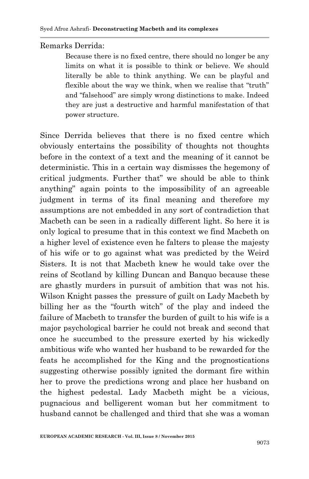Remarks Derrida:

Because there is no fixed centre, there should no longer be any limits on what it is possible to think or believe. We should literally be able to think anything. We can be playful and flexible about the way we think, when we realise that "truth" and "falsehood" are simply wrong distinctions to make. Indeed they are just a destructive and harmful manifestation of that power structure.

Since Derrida believes that there is no fixed centre which obviously entertains the possibility of thoughts not thoughts before in the context of a text and the meaning of it cannot be deterministic. This in a certain way dismisses the hegemony of critical judgments. Further that" we should be able to think anything" again points to the impossibility of an agreeable judgment in terms of its final meaning and therefore my assumptions are not embedded in any sort of contradiction that Macbeth can be seen in a radically different light. So here it is only logical to presume that in this context we find Macbeth on a higher level of existence even he falters to please the majesty of his wife or to go against what was predicted by the Weird Sisters. It is not that Macbeth knew he would take over the reins of Scotland by killing Duncan and Banquo because these are ghastly murders in pursuit of ambition that was not his. Wilson Knight passes the pressure of guilt on Lady Macbeth by billing her as the "fourth witch" of the play and indeed the failure of Macbeth to transfer the burden of guilt to his wife is a major psychological barrier he could not break and second that once he succumbed to the pressure exerted by his wickedly ambitious wife who wanted her husband to be rewarded for the feats he accomplished for the King and the prognostications suggesting otherwise possibly ignited the dormant fire within her to prove the predictions wrong and place her husband on the highest pedestal. Lady Macbeth might be a vicious, pugnacious and belligerent woman but her commitment to husband cannot be challenged and third that she was a woman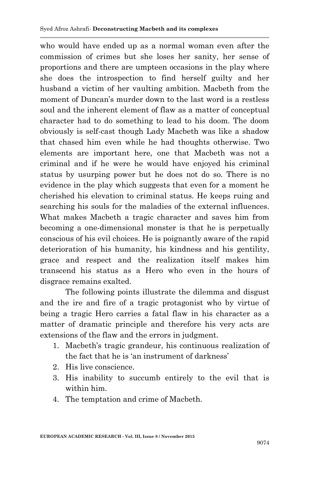who would have ended up as a normal woman even after the commission of crimes but she loses her sanity, her sense of proportions and there are umpteen occasions in the play where she does the introspection to find herself guilty and her husband a victim of her vaulting ambition. Macbeth from the moment of Duncan's murder down to the last word is a restless soul and the inherent element of flaw as a matter of conceptual character had to do something to lead to his doom. The doom obviously is self-cast though Lady Macbeth was like a shadow that chased him even while he had thoughts otherwise. Two elements are important here, one that Macbeth was not a criminal and if he were he would have enjoyed his criminal status by usurping power but he does not do so. There is no evidence in the play which suggests that even for a moment he cherished his elevation to criminal status. He keeps ruing and searching his souls for the maladies of the external influences. What makes Macbeth a tragic character and saves him from becoming a one-dimensional monster is that he is perpetually conscious of his evil choices. He is poignantly aware of the rapid deterioration of his humanity, his kindness and his gentility, grace and respect and the realization itself makes him transcend his status as a Hero who even in the hours of disgrace remains exalted.

The following points illustrate the dilemma and disgust and the ire and fire of a tragic protagonist who by virtue of being a tragic Hero carries a fatal flaw in his character as a matter of dramatic principle and therefore his very acts are extensions of the flaw and the errors in judgment.

- 1. Macbeth"s tragic grandeur, his continuous realization of the fact that he is "an instrument of darkness"
- 2. His live conscience.
- 3. His inability to succumb entirely to the evil that is within him.
- 4. The temptation and crime of Macbeth.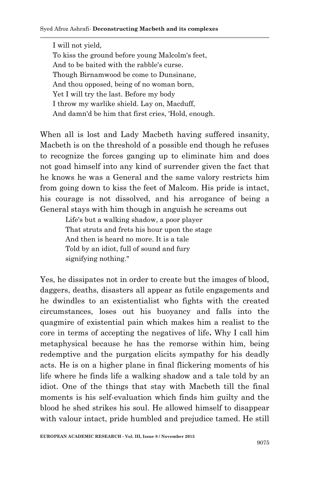I will not yield, To kiss the ground before young Malcolm's feet, And to be baited with the rabble's curse. Though Birnamwood be come to Dunsinane, And thou opposed, being of no woman born, Yet I will try the last. Before my body I throw my warlike shield. Lay on, Macduff, And damn'd be him that first cries, 'Hold, enough.

When all is lost and Lady Macbeth having suffered insanity, Macbeth is on the threshold of a possible end though he refuses to recognize the forces ganging up to eliminate him and does not goad himself into any kind of surrender given the fact that he knows he was a General and the same valory restricts him from going down to kiss the feet of Malcom. His pride is intact, his courage is not dissolved, and his arrogance of being a General stays with him though in anguish he screams out

> Life's but a walking shadow, a poor player That struts and frets his hour upon the stage And then is heard no more. It is a tale Told by an idiot, full of sound and fury signifying nothing."

Yes, he dissipates not in order to create but the images of blood, daggers, deaths, disasters all appear as futile engagements and he dwindles to an existentialist who fights with the created circumstances, loses out his buoyancy and falls into the quagmire of existential pain which makes him a realist to the core in terms of accepting the negatives of life**.** Why I call him metaphysical because he has the remorse within him, being redemptive and the purgation elicits sympathy for his deadly acts. He is on a higher plane in final flickering moments of his life where he finds life a walking shadow and a tale told by an idiot. One of the things that stay with Macbeth till the final moments is his self-evaluation which finds him guilty and the blood he shed strikes his soul. He allowed himself to disappear with valour intact, pride humbled and prejudice tamed. He still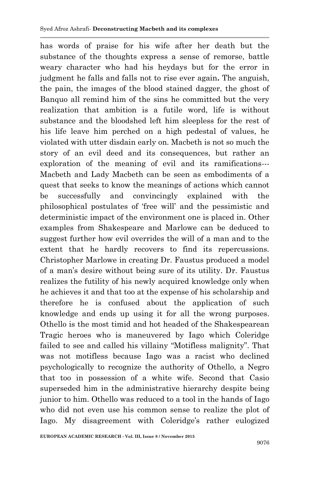has words of praise for his wife after her death but the substance of the thoughts express a sense of remorse, battle weary character who had his heydays but for the error in judgment he falls and falls not to rise ever again**.** The anguish, the pain, the images of the blood stained dagger, the ghost of Banquo all remind him of the sins he committed but the very realization that ambition is a futile word, life is without substance and the bloodshed left him sleepless for the rest of his life leave him perched on a high pedestal of values, he violated with utter disdain early on. Macbeth is not so much the story of an evil deed and its consequences, but rather an exploration of the meaning of evil and its ramifications--- Macbeth and Lady Macbeth can be seen as embodiments of a quest that seeks to know the meanings of actions which cannot be successfully and convincingly explained with the philosophical postulates of "free will" and the pessimistic and deterministic impact of the environment one is placed in. Other examples from Shakespeare and Marlowe can be deduced to suggest further how evil overrides the will of a man and to the extent that he hardly recovers to find its repercussions. Christopher Marlowe in creating Dr. Faustus produced a model of a man"s desire without being sure of its utility. Dr. Faustus realizes the futility of his newly acquired knowledge only when he achieves it and that too at the expense of his scholarship and therefore he is confused about the application of such knowledge and ends up using it for all the wrong purposes. Othello is the most timid and hot headed of the Shakespearean Tragic heroes who is maneuvered by Iago which Coleridge failed to see and called his villainy "Motifless malignity". That was not motifless because Iago was a racist who declined psychologically to recognize the authority of Othello, a Negro that too in possession of a white wife. Second that Casio superseded him in the administrative hierarchy despite being junior to him. Othello was reduced to a tool in the hands of Iago who did not even use his common sense to realize the plot of Iago. My disagreement with Coleridge's rather eulogized